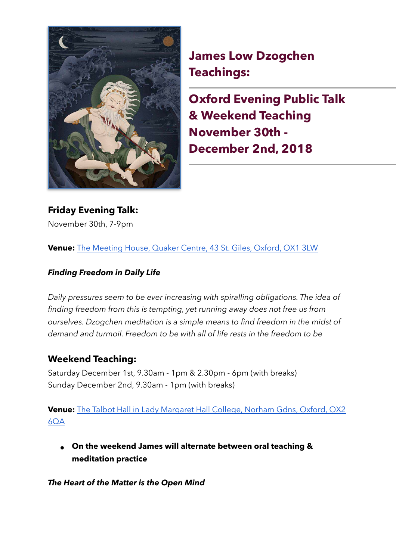

**James Low Dzogchen Teachings:**

**Oxford Evening Public Talk & Weekend Teaching November 30th - December 2nd, 2018** 

**Friday Evening Talk:**  November 30th, 7-9pm

**Venue:** [The Meeting House, Quaker Centre, 43 St. Giles, Oxford, OX1 3LW](https://www.google.com/maps/place/Oxford+Quaker+Meeting/@51.7552629,-1.2751307,14z/data=!4m5!3m4!1s0x4876c6a64507d959:0x3c1297e8cbe39f47!8m2!3d51.757491!4d-1.2604537)

## *Finding Freedom in Daily Life*

*Daily pressures seem to be ever increasing with spiralling obligations. The idea of finding freedom from this is tempting, yet running away does not free us from ourselves. Dzogchen meditation is a simple means to find freedom in the midst of demand and turmoil. Freedom to be with all of life rests in the freedom to be* 

## **Weekend Teaching:**

Saturday December 1st, 9.30am - 1pm & 2.30pm - 6pm (with breaks) Sunday December 2nd, 9.30am - 1pm (with breaks)

**Venue:** The Talbot Hall in Lady Margaret Hall College, Norham Gdns, Oxford, OX2 [6QA](https://www.google.com/maps/place/Lady+Margaret+Hall/@51.7550997,-1.2685987,14z/data=!4m5!3m4!1s0x4876c4038f593fc1:0xfc614dc4881465ec!8m2!3d51.764659!4d-1.254265)

**● On the weekend James will alternate between oral teaching & meditation practice** 

*The Heart of the Matter is the Open Mind*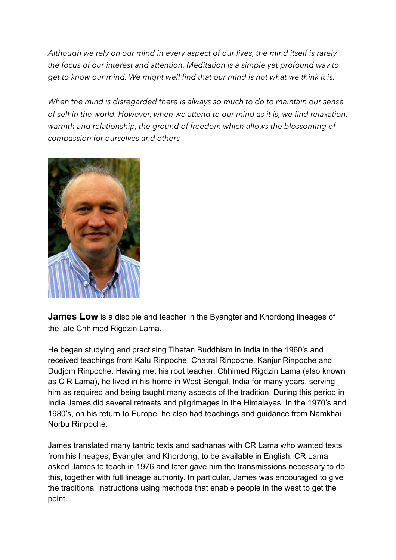*Although we rely on our mind in every aspect of our lives, the mind itself is rarely the focus of our interest and attention. Meditation is a simple yet profound way to get to know our mind. We might well find that our mind is not what we think it is.* 

*When the mind is disregarded there is always so much to do to maintain our sense of self in the world. However, when we attend to our mind as it is, we find relaxation, warmth and relationship, the ground of freedom which allows the blossoming of compassion for ourselves and others* 



**James Low** is a disciple and teacher in the Byangter and Khordong lineages of the late Chhimed Rigdzin Lama.

He began studying and practising Tibetan Buddhism in India in the 1960's and received teachings from Kalu Rinpoche, Chatral Rinpoche, Kanjur Rinpoche and Dudjom Rinpoche. Having met his root teacher, Chhimed Rigdzin Lama (also known as C R Lama), he lived in his home in West Bengal, India for many years, serving him as required and being taught many aspects of the tradition. During this period in India James did several retreats and pilgrimages in the Himalayas. In the 1970's and 1980's, on his return to Europe, he also had teachings and guidance from Namkhai Norbu Rinpoche.

James translated many tantric texts and sadhanas with CR Lama who wanted texts from his lineages, Byangter and Khordong, to be available in English. CR Lama asked James to teach in 1976 and later gave him the transmissions necessary to do this, together with full lineage authority. In particular, James was encouraged to give the traditional instructions using methods that enable people in the west to get the point.